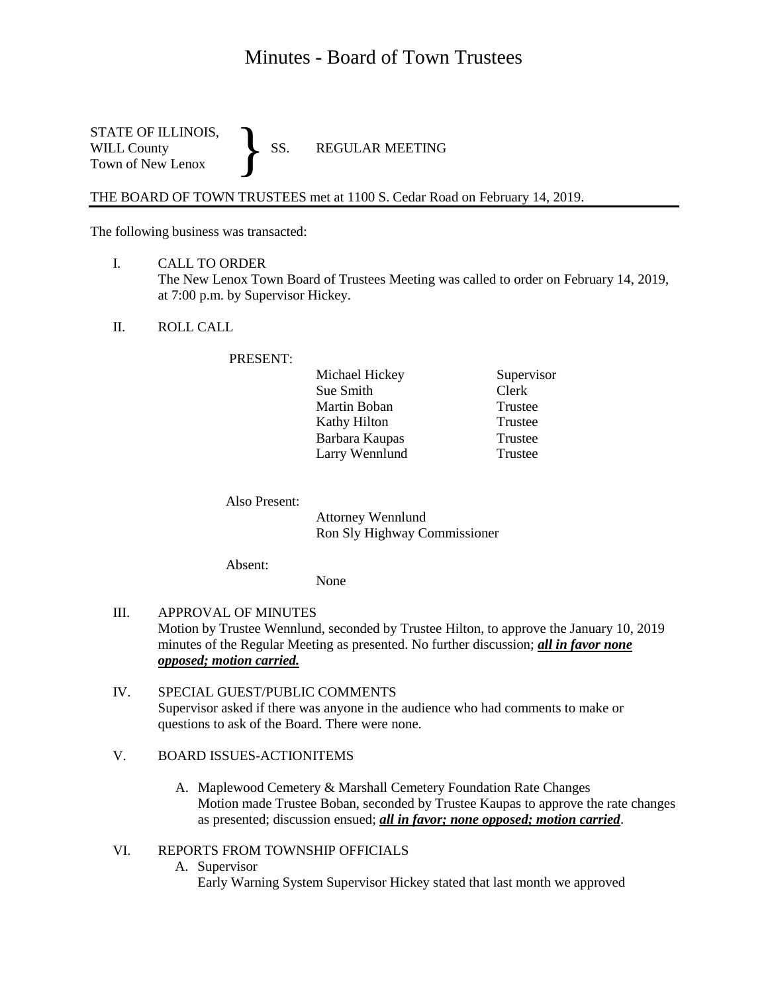## Minutes - Board of Town Trustees

STATE OF ILLINOIS,<br>WILL County SS. WILL County SS. REGULAR MEETING Town of New Lenox }

THE BOARD OF TOWN TRUSTEES met at 1100 S. Cedar Road on February 14, 2019.

The following business was transacted:

- I. CALL TO ORDER The New Lenox Town Board of Trustees Meeting was called to order on February 14, 2019, at 7:00 p.m. by Supervisor Hickey.
- II. ROLL CALL

## PRESENT:

| Michael Hickey | Supervisor |
|----------------|------------|
| Sue Smith      | Clerk      |
| Martin Boban   | Trustee    |
| Kathy Hilton   | Trustee    |
| Barbara Kaupas | Trustee    |
| Larry Wennlund | Trustee    |

Also Present:

Attorney Wennlund Ron Sly Highway Commissioner

Absent:

None

- III. APPROVAL OF MINUTES Motion by Trustee Wennlund, seconded by Trustee Hilton, to approve the January 10, 2019 minutes of the Regular Meeting as presented. No further discussion; *all in favor none opposed; motion carried.*
- IV. SPECIAL GUEST/PUBLIC COMMENTS Supervisor asked if there was anyone in the audience who had comments to make or questions to ask of the Board. There were none.
- V. BOARD ISSUES-ACTIONITEMS
	- A. Maplewood Cemetery & Marshall Cemetery Foundation Rate Changes Motion made Trustee Boban, seconded by Trustee Kaupas to approve the rate changes as presented; discussion ensued; *all in favor; none opposed; motion carried*.
- VI. REPORTS FROM TOWNSHIP OFFICIALS
	- A. Supervisor
		- Early Warning System Supervisor Hickey stated that last month we approved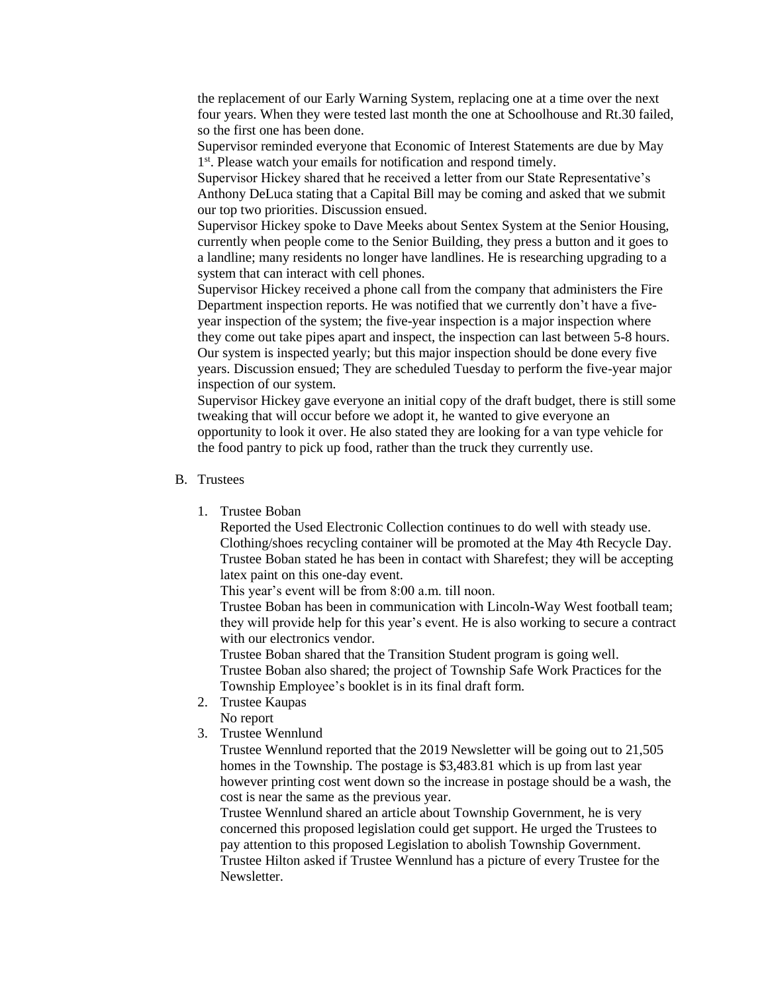the replacement of our Early Warning System, replacing one at a time over the next four years. When they were tested last month the one at Schoolhouse and Rt.30 failed, so the first one has been done.

Supervisor reminded everyone that Economic of Interest Statements are due by May 1<sup>st</sup>. Please watch your emails for notification and respond timely.

Supervisor Hickey shared that he received a letter from our State Representative's Anthony DeLuca stating that a Capital Bill may be coming and asked that we submit our top two priorities. Discussion ensued.

Supervisor Hickey spoke to Dave Meeks about Sentex System at the Senior Housing, currently when people come to the Senior Building, they press a button and it goes to a landline; many residents no longer have landlines. He is researching upgrading to a system that can interact with cell phones.

Supervisor Hickey received a phone call from the company that administers the Fire Department inspection reports. He was notified that we currently don't have a fiveyear inspection of the system; the five-year inspection is a major inspection where they come out take pipes apart and inspect, the inspection can last between 5-8 hours. Our system is inspected yearly; but this major inspection should be done every five years. Discussion ensued; They are scheduled Tuesday to perform the five-year major inspection of our system.

Supervisor Hickey gave everyone an initial copy of the draft budget, there is still some tweaking that will occur before we adopt it, he wanted to give everyone an opportunity to look it over. He also stated they are looking for a van type vehicle for the food pantry to pick up food, rather than the truck they currently use.

- B. Trustees
	- 1. Trustee Boban

Reported the Used Electronic Collection continues to do well with steady use. Clothing/shoes recycling container will be promoted at the May 4th Recycle Day. Trustee Boban stated he has been in contact with Sharefest; they will be accepting latex paint on this one-day event.

This year's event will be from 8:00 a.m. till noon.

Trustee Boban has been in communication with Lincoln-Way West football team; they will provide help for this year's event. He is also working to secure a contract with our electronics vendor.

Trustee Boban shared that the Transition Student program is going well. Trustee Boban also shared; the project of Township Safe Work Practices for the Township Employee's booklet is in its final draft form.

- 2. Trustee Kaupas
- No report
- 3. Trustee Wennlund

Trustee Wennlund reported that the 2019 Newsletter will be going out to 21,505 homes in the Township. The postage is \$3,483.81 which is up from last year however printing cost went down so the increase in postage should be a wash, the cost is near the same as the previous year.

Trustee Wennlund shared an article about Township Government, he is very concerned this proposed legislation could get support. He urged the Trustees to pay attention to this proposed Legislation to abolish Township Government. Trustee Hilton asked if Trustee Wennlund has a picture of every Trustee for the Newsletter.